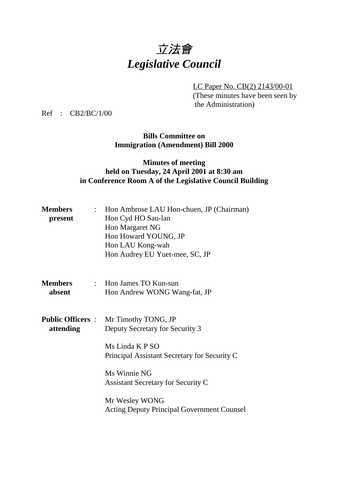# 立法會 *Legislative Council*

LC Paper No. CB(2) 2143/00-01 (These minutes have been seen by the Administration)

Ref : CB2/BC/1/00

**Bills Committee on Immigration (Amendment) Bill 2000**

### **Minutes of meeting held on Tuesday, 24 April 2001 at 8:30 am in Conference Room A of the Legislative Council Building**

| <b>Members</b><br>present             | : Hon Ambrose LAU Hon-chuen, JP (Chairman)<br>Hon Cyd HO Sau-lan<br>Hon Margaret NG<br>Hon Howard YOUNG, JP<br>Hon LAU Kong-wah<br>Hon Audrey EU Yuet-mee, SC, JP                      |
|---------------------------------------|----------------------------------------------------------------------------------------------------------------------------------------------------------------------------------------|
| <b>Members</b><br>absent              | : Hon James TO Kun-sun<br>Hon Andrew WONG Wang-fat, JP                                                                                                                                 |
| <b>Public Officers :</b><br>attending | Mr Timothy TONG, JP<br>Deputy Secretary for Security 3<br>Ms Linda K P SO<br>Principal Assistant Secretary for Security C<br>Ms Winnie NG<br><b>Assistant Secretary for Security C</b> |
|                                       | Mr Wesley WONG<br><b>Acting Deputy Principal Government Counsel</b>                                                                                                                    |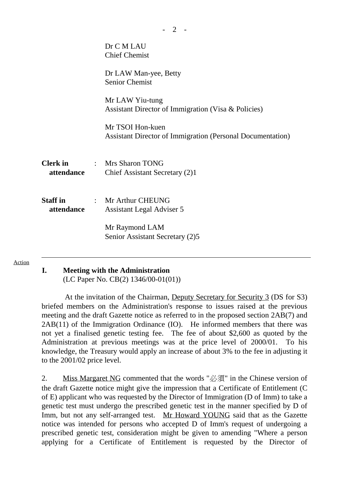|                               | Dr C M LAU<br><b>Chief Chemist</b>                                                    |  |
|-------------------------------|---------------------------------------------------------------------------------------|--|
|                               | Dr LAW Man-yee, Betty<br><b>Senior Chemist</b>                                        |  |
|                               | Mr LAW Yiu-tung<br>Assistant Director of Immigration (Visa & Policies)                |  |
|                               | Mr TSOI Hon-kuen<br><b>Assistant Director of Immigration (Personal Documentation)</b> |  |
| attendance                    | <b>Clerk in : Mrs Sharon TONG</b><br>Chief Assistant Secretary (2)1                   |  |
| <b>Staff</b> in<br>attendance | : Mr Arthur CHEUNG<br>Assistant Legal Adviser 5                                       |  |
|                               | Mr Raymond LAM<br>Senior Assistant Secretary (2)5                                     |  |

#### Action

## **I. Meeting with the Administration**

(LC Paper No. CB(2) 1346/00-01(01))

 At the invitation of the Chairman, Deputy Secretary for Security 3 (DS for S3) briefed members on the Administration's response to issues raised at the previous meeting and the draft Gazette notice as referred to in the proposed section 2AB(7) and 2AB(11) of the Immigration Ordinance (IO). He informed members that there was not yet a finalised genetic testing fee. The fee of about \$2,600 as quoted by the Administration at previous meetings was at the price level of 2000/01. To his knowledge, the Treasury would apply an increase of about 3% to the fee in adjusting it to the 2001/02 price level.

2. Miss Margaret NG commented that the words " $\mathcal{B}(\overline{A})$ " in the Chinese version of the draft Gazette notice might give the impression that a Certificate of Entitlement (C of E) applicant who was requested by the Director of Immigration (D of Imm) to take a genetic test must undergo the prescribed genetic test in the manner specified by D of Imm, but not any self-arranged test. Mr Howard YOUNG said that as the Gazette notice was intended for persons who accepted D of Imm's request of undergoing a prescribed genetic test, consideration might be given to amending "Where a person applying for a Certificate of Entitlement is requested by the Director of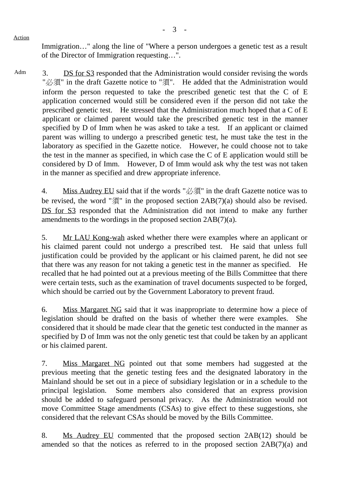Immigration..." along the line of "Where a person undergoes a genetic test as a result of the Director of Immigration requesting…".

Adm 3. DS for S3 responded that the Administration would consider revising the words "必須" in the draft Gazette notice to "須". He added that the Administration would inform the person requested to take the prescribed genetic test that the C of E application concerned would still be considered even if the person did not take the prescribed genetic test. He stressed that the Administration much hoped that a C of E applicant or claimed parent would take the prescribed genetic test in the manner specified by D of Imm when he was asked to take a test. If an applicant or claimed parent was willing to undergo a prescribed genetic test, he must take the test in the laboratory as specified in the Gazette notice. However, he could choose not to take the test in the manner as specified, in which case the C of E application would still be considered by D of Imm. However, D of Imm would ask why the test was not taken in the manner as specified and drew appropriate inference.

4. Miss Audrey EU said that if the words " $\mathcal{B}(\overline{A})$ " in the draft Gazette notice was to be revised, the word " $\mathcal{F}$ " in the proposed section  $2AB(7)(a)$  should also be revised. DS for S3 responded that the Administration did not intend to make any further amendments to the wordings in the proposed section 2AB(7)(a).

5. Mr LAU Kong-wah asked whether there were examples where an applicant or his claimed parent could not undergo a prescribed test. He said that unless full justification could be provided by the applicant or his claimed parent, he did not see that there was any reason for not taking a genetic test in the manner as specified. He recalled that he had pointed out at a previous meeting of the Bills Committee that there were certain tests, such as the examination of travel documents suspected to be forged, which should be carried out by the Government Laboratory to prevent fraud.

6. Miss Margaret NG said that it was inappropriate to determine how a piece of legislation should be drafted on the basis of whether there were examples. She considered that it should be made clear that the genetic test conducted in the manner as specified by D of Imm was not the only genetic test that could be taken by an applicant or his claimed parent.

7. Miss Margaret NG pointed out that some members had suggested at the previous meeting that the genetic testing fees and the designated laboratory in the Mainland should be set out in a piece of subsidiary legislation or in a schedule to the principal legislation. Some members also considered that an express provision should be added to safeguard personal privacy. As the Administration would not move Committee Stage amendments (CSAs) to give effect to these suggestions, she considered that the relevant CSAs should be moved by the Bills Committee.

8. Ms Audrey EU commented that the proposed section 2AB(12) should be amended so that the notices as referred to in the proposed section 2AB(7)(a) and

Action